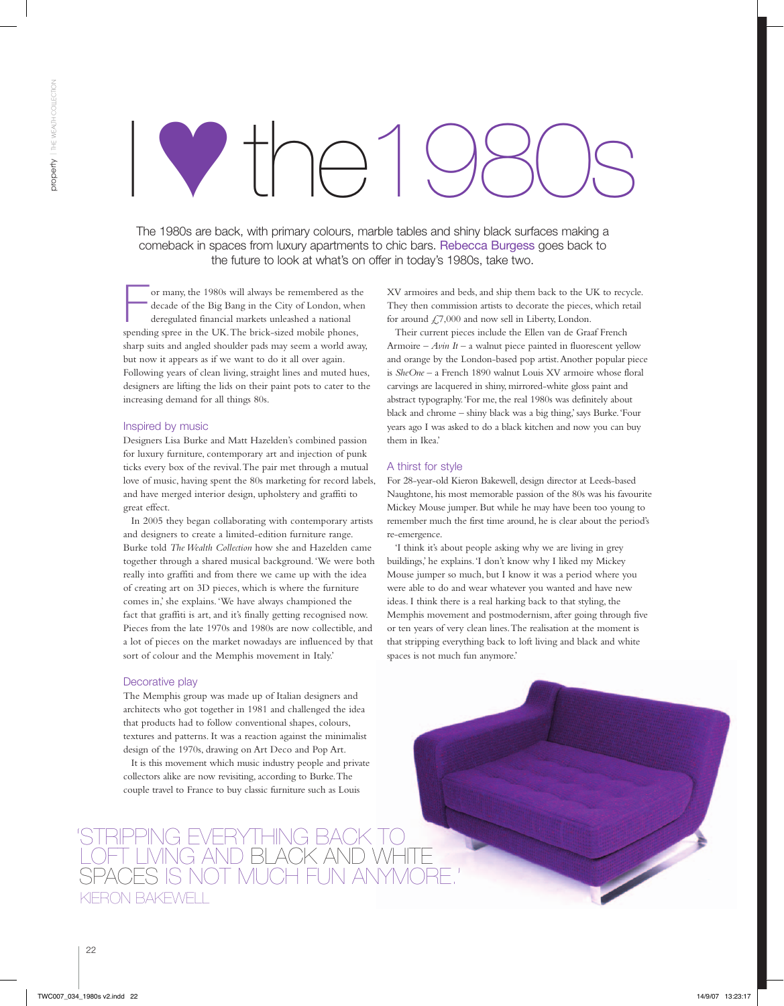# I ♥the1980s

The 1980s are back, with primary colours, marble tables and shiny black surfaces making a comeback in spaces from luxury apartments to chic bars. Rebecca Burgess goes back to the future to look at what's on offer in today's 1980s, take two.

For many, the 1980s will always be remembered as the decade of the Big Bang in the City of London, when deregulated financial markets unleashed a national spending spree in the UK. The brick-sized mobile phones, sharp suits and angled shoulder pads may seem a world away, but now it appears as if we want to do it all over again. Following years of clean living, straight lines and muted hues, designers are lifting the lids on their paint pots to cater to the increasing demand for all things 80s.

#### Inspired by music

Designers Lisa Burke and Matt Hazelden's combined passion for luxury furniture, contemporary art and injection of punk ticks every box of the revival. The pair met through a mutual love of music, having spent the 80s marketing for record labels, and have merged interior design, upholstery and graffiti to great effect.

In 2005 they began collaborating with contemporary artists and designers to create a limited-edition furniture range. Burke told *The Wealth Collection* how she and Hazelden came together through a shared musical background. 'We were both really into graffiti and from there we came up with the idea of creating art on 3D pieces, which is where the furniture comes in,' she explains. 'We have always championed the fact that graffiti is art, and it's finally getting recognised now. Pieces from the late 1970s and 1980s are now collectible, and a lot of pieces on the market nowadays are influenced by that sort of colour and the Memphis movement in Italy.'

### Decorative play

The Memphis group was made up of Italian designers and architects who got together in 1981 and challenged the idea that products had to follow conventional shapes, colours, textures and patterns. It was a reaction against the minimalist design of the 1970s, drawing on Art Deco and Pop Art.

It is this movement which music industry people and private collectors alike are now revisiting, according to Burke. The couple travel to France to buy classic furniture such as Louis

## 'Stripping everything back to loft living and black and white spaces is not much fun anymore.' KIERON BAKFWFI I

XV armoires and beds, and ship them back to the UK to recycle. They then commission artists to decorate the pieces, which retail for around £7,000 and now sell in Liberty, London.

Their current pieces include the Ellen van de Graaf French Armoire – *Avin It* – a walnut piece painted in fluorescent yellow and orange by the London-based pop artist. Another popular piece is *SheOne* – a French 1890 walnut Louis XV armoire whose floral carvings are lacquered in shiny, mirrored-white gloss paint and abstract typography. 'For me, the real 1980s was definitely about black and chrome – shiny black was a big thing,' says Burke. 'Four years ago I was asked to do a black kitchen and now you can buy them in Ikea.'

#### A thirst for style

For 28-year-old Kieron Bakewell, design director at Leeds-based Naughtone, his most memorable passion of the 80s was his favourite Mickey Mouse jumper. But while he may have been too young to remember much the first time around, he is clear about the period's re-emergence.

'I think it's about people asking why we are living in grey buildings,' he explains. 'I don't know why I liked my Mickey Mouse jumper so much, but I know it was a period where you were able to do and wear whatever you wanted and have new ideas. I think there is a real harking back to that styling, the Memphis movement and postmodernism, after going through five or ten years of very clean lines. The realisation at the moment is that stripping everything back to loft living and black and white spaces is not much fun anymore.'